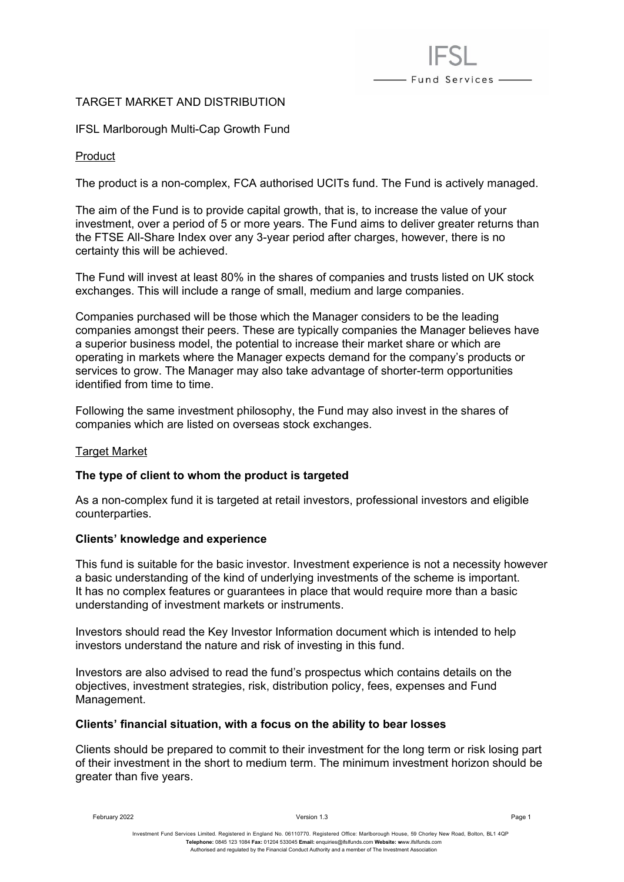# TARGET MARKET AND DISTRIBUTION

IFSL Marlborough Multi-Cap Growth Fund

### Product

The product is a non-complex, FCA authorised UCITs fund. The Fund is actively managed.

- Fund Services -

The aim of the Fund is to provide capital growth, that is, to increase the value of your investment, over a period of 5 or more years. The Fund aims to deliver greater returns than the FTSE All-Share Index over any 3-year period after charges, however, there is no certainty this will be achieved.

The Fund will invest at least 80% in the shares of companies and trusts listed on UK stock exchanges. This will include a range of small, medium and large companies.

Companies purchased will be those which the Manager considers to be the leading companies amongst their peers. These are typically companies the Manager believes have a superior business model, the potential to increase their market share or which are operating in markets where the Manager expects demand for the company's products or services to grow. The Manager may also take advantage of shorter-term opportunities identified from time to time.

Following the same investment philosophy, the Fund may also invest in the shares of companies which are listed on overseas stock exchanges.

#### Target Market

#### **The type of client to whom the product is targeted**

As a non-complex fund it is targeted at retail investors, professional investors and eligible counterparties.

#### **Clients' knowledge and experience**

This fund is suitable for the basic investor. Investment experience is not a necessity however a basic understanding of the kind of underlying investments of the scheme is important. It has no complex features or guarantees in place that would require more than a basic understanding of investment markets or instruments.

Investors should read the Key Investor Information document which is intended to help investors understand the nature and risk of investing in this fund.

Investors are also advised to read the fund's prospectus which contains details on the objectives, investment strategies, risk, distribution policy, fees, expenses and Fund Management.

#### **Clients' financial situation, with a focus on the ability to bear losses**

Clients should be prepared to commit to their investment for the long term or risk losing part of their investment in the short to medium term. The minimum investment horizon should be greater than five years.

February 2022 Version 1.3 Page 1